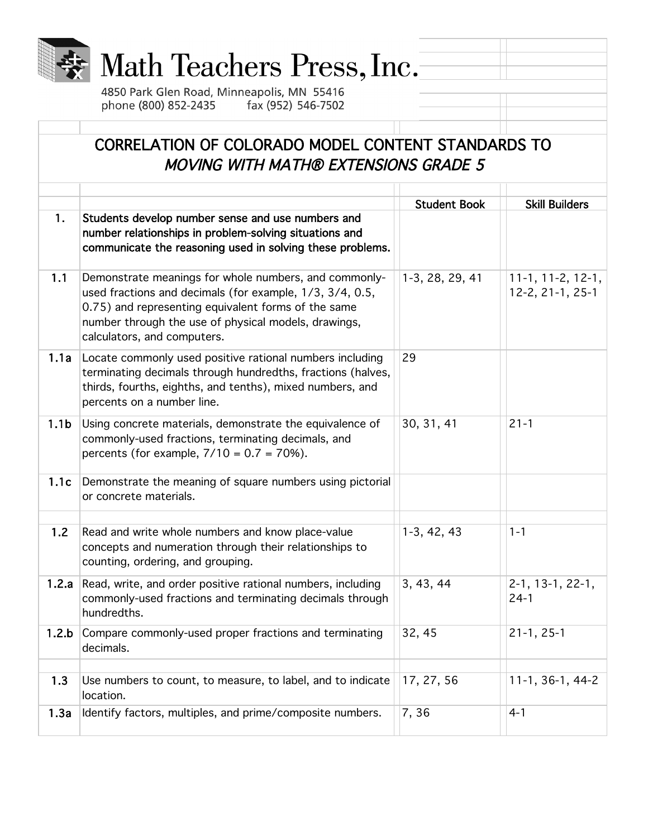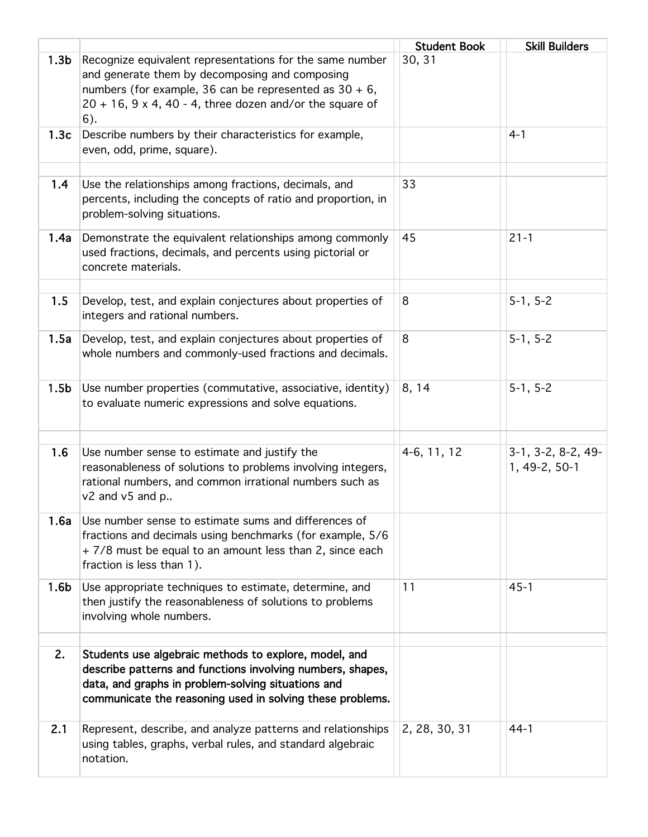|                  |                                                                                                                                                                                                                                                          | <b>Student Book</b> | <b>Skill Builders</b>                 |
|------------------|----------------------------------------------------------------------------------------------------------------------------------------------------------------------------------------------------------------------------------------------------------|---------------------|---------------------------------------|
| 1.3 <sub>b</sub> | Recognize equivalent representations for the same number<br>and generate them by decomposing and composing<br>numbers (for example, 36 can be represented as $30 + 6$ ,<br>$20 + 16$ , $9 \times 4$ , $40 - 4$ , three dozen and/or the square of<br>6). | 30, 31              |                                       |
| 1.3c             | Describe numbers by their characteristics for example,<br>even, odd, prime, square).                                                                                                                                                                     |                     | $4 - 1$                               |
| 1.4              | Use the relationships among fractions, decimals, and<br>percents, including the concepts of ratio and proportion, in<br>problem-solving situations.                                                                                                      | 33                  |                                       |
| 1.4a             | Demonstrate the equivalent relationships among commonly<br>used fractions, decimals, and percents using pictorial or<br>concrete materials.                                                                                                              | 45                  | $21 - 1$                              |
| 1.5              | Develop, test, and explain conjectures about properties of<br>integers and rational numbers.                                                                                                                                                             | 8                   | $5-1, 5-2$                            |
| 1.5a             | Develop, test, and explain conjectures about properties of<br>whole numbers and commonly-used fractions and decimals.                                                                                                                                    | 8                   | $5-1, 5-2$                            |
| 1.5 <sub>b</sub> | Use number properties (commutative, associative, identity)<br>to evaluate numeric expressions and solve equations.                                                                                                                                       | 8, 14               | $5-1, 5-2$                            |
| 1.6              | Use number sense to estimate and justify the<br>reasonableness of solutions to problems involving integers,<br>rational numbers, and common irrational numbers such as<br>v2 and v5 and p                                                                | 4-6, 11, 12         | $3-1, 3-2, 8-2, 49-$<br>1, 49-2, 50-1 |
| 1.6a             | Use number sense to estimate sums and differences of<br>fractions and decimals using benchmarks (for example, 5/6<br>+7/8 must be equal to an amount less than 2, since each<br>fraction is less than 1).                                                |                     |                                       |
| 1.6 <sub>b</sub> | Use appropriate techniques to estimate, determine, and<br>then justify the reasonableness of solutions to problems<br>involving whole numbers.                                                                                                           | 11                  | $45 - 1$                              |
| 2.               | Students use algebraic methods to explore, model, and<br>describe patterns and functions involving numbers, shapes,<br>data, and graphs in problem-solving situations and<br>communicate the reasoning used in solving these problems.                   |                     |                                       |
| 2.1              | Represent, describe, and analyze patterns and relationships<br>using tables, graphs, verbal rules, and standard algebraic<br>notation.                                                                                                                   | 2, 28, 30, 31       | $44-1$                                |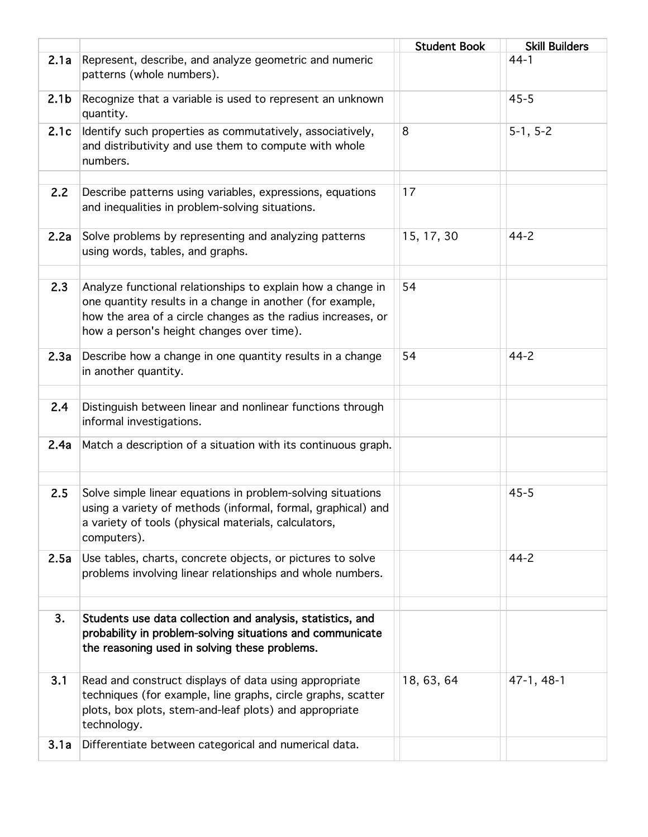|                  |                                                                                                                                                                                                                                       | <b>Student Book</b> | <b>Skill Builders</b> |
|------------------|---------------------------------------------------------------------------------------------------------------------------------------------------------------------------------------------------------------------------------------|---------------------|-----------------------|
| 2.1a             | Represent, describe, and analyze geometric and numeric<br>patterns (whole numbers).                                                                                                                                                   |                     | $44-1$                |
| 2.1 <sub>b</sub> | Recognize that a variable is used to represent an unknown<br>quantity.                                                                                                                                                                |                     | $45 - 5$              |
| 2.1c             | Identify such properties as commutatively, associatively,<br>and distributivity and use them to compute with whole<br>numbers.                                                                                                        | 8                   | $5-1, 5-2$            |
| 2.2              | Describe patterns using variables, expressions, equations<br>and inequalities in problem-solving situations.                                                                                                                          | 17                  |                       |
| 2.2a             | Solve problems by representing and analyzing patterns<br>using words, tables, and graphs.                                                                                                                                             | 15, 17, 30          | $44 - 2$              |
| 2.3              | Analyze functional relationships to explain how a change in<br>one quantity results in a change in another (for example,<br>how the area of a circle changes as the radius increases, or<br>how a person's height changes over time). | 54                  |                       |
| 2.3a             | Describe how a change in one quantity results in a change<br>in another quantity.                                                                                                                                                     | 54                  | $44 - 2$              |
| 2.4              | Distinguish between linear and nonlinear functions through<br>informal investigations.                                                                                                                                                |                     |                       |
| 2.4a             | Match a description of a situation with its continuous graph.                                                                                                                                                                         |                     |                       |
| 2.5              | Solve simple linear equations in problem-solving situations<br>using a variety of methods (informal, formal, graphical) and<br>a variety of tools (physical materials, calculators,<br>computers).                                    |                     | $45 - 5$              |
| 2.5a             | Use tables, charts, concrete objects, or pictures to solve<br>problems involving linear relationships and whole numbers.                                                                                                              |                     | $44 - 2$              |
| 3.               | Students use data collection and analysis, statistics, and<br>probability in problem-solving situations and communicate<br>the reasoning used in solving these problems.                                                              |                     |                       |
| 3.1              | Read and construct displays of data using appropriate<br>techniques (for example, line graphs, circle graphs, scatter<br>plots, box plots, stem-and-leaf plots) and appropriate<br>technology.                                        | 18, 63, 64          | 47-1, 48-1            |
| 3.1a             | Differentiate between categorical and numerical data.                                                                                                                                                                                 |                     |                       |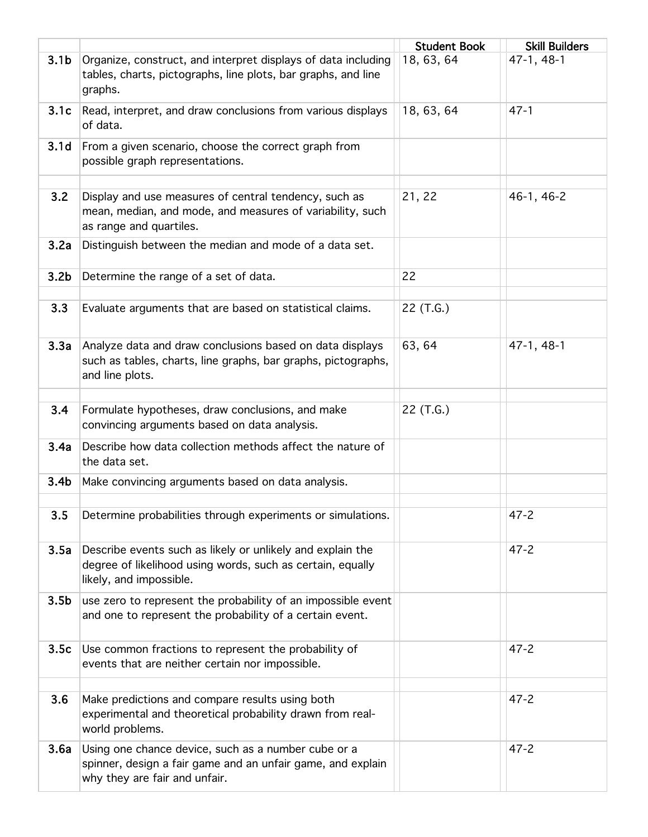|                  |                                                                                                                                                     | <b>Student Book</b> | <b>Skill Builders</b> |
|------------------|-----------------------------------------------------------------------------------------------------------------------------------------------------|---------------------|-----------------------|
| 3.1 <sub>b</sub> | Organize, construct, and interpret displays of data including<br>tables, charts, pictographs, line plots, bar graphs, and line<br>graphs.           | 18, 63, 64          | 47-1, 48-1            |
| 3.1c             | Read, interpret, and draw conclusions from various displays<br>of data.                                                                             | 18, 63, 64          | $47 - 1$              |
| 3.1 <sub>d</sub> | From a given scenario, choose the correct graph from<br>possible graph representations.                                                             |                     |                       |
| 3.2              | Display and use measures of central tendency, such as<br>mean, median, and mode, and measures of variability, such<br>as range and quartiles.       | 21, 22              | 46-1, 46-2            |
| 3.2a             | Distinguish between the median and mode of a data set.                                                                                              |                     |                       |
| 3.2 <sub>b</sub> | Determine the range of a set of data.                                                                                                               | 22                  |                       |
| 3.3              | Evaluate arguments that are based on statistical claims.                                                                                            | 22 (T.G.)           |                       |
| 3.3a             | Analyze data and draw conclusions based on data displays<br>such as tables, charts, line graphs, bar graphs, pictographs,<br>and line plots.        | 63, 64              | 47-1, 48-1            |
| 3.4              | Formulate hypotheses, draw conclusions, and make<br>convincing arguments based on data analysis.                                                    | 22 (T.G.)           |                       |
| 3.4a             | Describe how data collection methods affect the nature of<br>the data set.                                                                          |                     |                       |
| 3.4 <sub>b</sub> | Make convincing arguments based on data analysis.                                                                                                   |                     |                       |
| 3.5              | Determine probabilities through experiments or simulations.                                                                                         |                     | $47 - 2$              |
| 3.5a             | Describe events such as likely or unlikely and explain the<br>degree of likelihood using words, such as certain, equally<br>likely, and impossible. |                     | $47 - 2$              |
| 3.5 <sub>b</sub> | use zero to represent the probability of an impossible event<br>and one to represent the probability of a certain event.                            |                     |                       |
| 3.5c             | Use common fractions to represent the probability of<br>events that are neither certain nor impossible.                                             |                     | $47 - 2$              |
| 3.6              | Make predictions and compare results using both<br>experimental and theoretical probability drawn from real-<br>world problems.                     |                     | $47 - 2$              |
| 3.6a             | Using one chance device, such as a number cube or a<br>spinner, design a fair game and an unfair game, and explain<br>why they are fair and unfair. |                     | $47 - 2$              |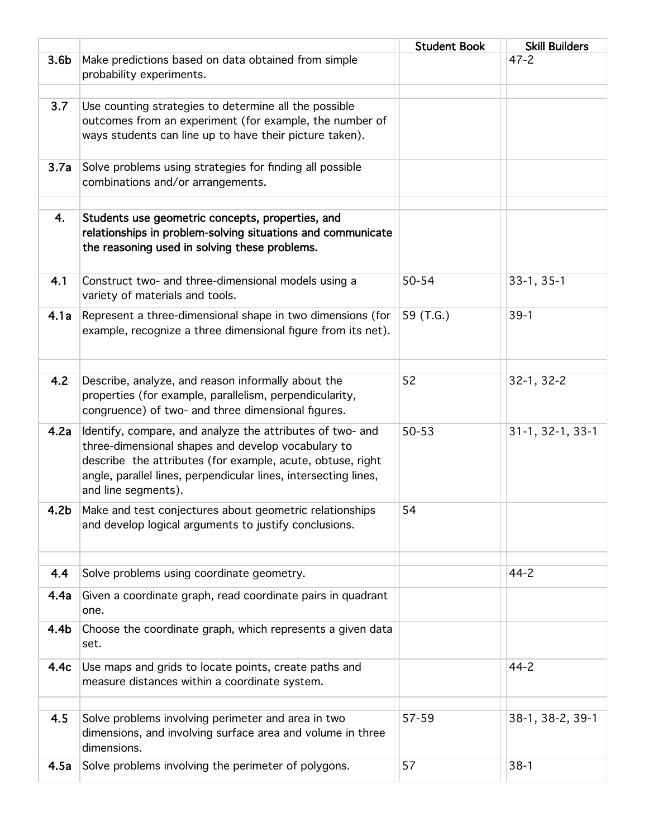|                  |                                                                                                                                                                                                                                                                         | <b>Student Book</b> | <b>Skill Builders</b> |
|------------------|-------------------------------------------------------------------------------------------------------------------------------------------------------------------------------------------------------------------------------------------------------------------------|---------------------|-----------------------|
| 3.6 <sub>b</sub> | Make predictions based on data obtained from simple<br>probability experiments.                                                                                                                                                                                         |                     | $47 - 2$              |
| 3.7              | Use counting strategies to determine all the possible<br>outcomes from an experiment (for example, the number of<br>ways students can line up to have their picture taken).                                                                                             |                     |                       |
| 3.7a             | Solve problems using strategies for finding all possible<br>combinations and/or arrangements.                                                                                                                                                                           |                     |                       |
| 4.               | Students use geometric concepts, properties, and<br>relationships in problem-solving situations and communicate<br>the reasoning used in solving these problems.                                                                                                        |                     |                       |
| 4.1              | Construct two- and three-dimensional models using a<br>variety of materials and tools.                                                                                                                                                                                  | 50-54               | $33-1, 35-1$          |
| 4.1a             | Represent a three-dimensional shape in two dimensions (for<br>example, recognize a three dimensional figure from its net).                                                                                                                                              | 59 (T.G.)           | $39-1$                |
| 4.2              | Describe, analyze, and reason informally about the<br>properties (for example, parallelism, perpendicularity,<br>congruence) of two- and three dimensional figures.                                                                                                     | 52                  | 32-1, 32-2            |
| 4.2a             | Identify, compare, and analyze the attributes of two- and<br>three-dimensional shapes and develop vocabulary to<br>describe the attributes (for example, acute, obtuse, right<br>angle, parallel lines, perpendicular lines, intersecting lines,<br>and line segments). | 50-53               | 31-1, 32-1, 33-1      |
| 4.2b             | Make and test conjectures about geometric relationships<br>and develop logical arguments to justify conclusions.                                                                                                                                                        | 54                  |                       |
| 4.4              | Solve problems using coordinate geometry.                                                                                                                                                                                                                               |                     | $44 - 2$              |
| 4.4a             | Given a coordinate graph, read coordinate pairs in quadrant<br>one.                                                                                                                                                                                                     |                     |                       |
| 4.4b             | Choose the coordinate graph, which represents a given data<br>set.                                                                                                                                                                                                      |                     |                       |
| 4.4c             | Use maps and grids to locate points, create paths and<br>measure distances within a coordinate system.                                                                                                                                                                  |                     | $44 - 2$              |
| 4.5              | Solve problems involving perimeter and area in two<br>dimensions, and involving surface area and volume in three<br>dimensions.                                                                                                                                         | 57-59               | 38-1, 38-2, 39-1      |
| 4.5a             | Solve problems involving the perimeter of polygons.                                                                                                                                                                                                                     | 57                  | $38-1$                |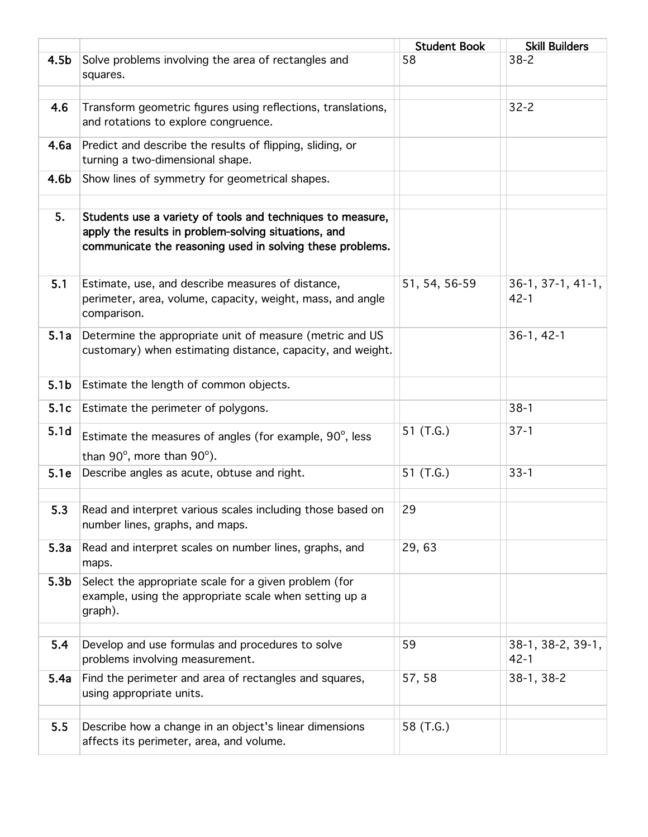|                  |                                                                                                                                                                                 | <b>Student Book</b> | <b>Skill Builders</b>           |
|------------------|---------------------------------------------------------------------------------------------------------------------------------------------------------------------------------|---------------------|---------------------------------|
| 4.5 <sub>b</sub> | Solve problems involving the area of rectangles and<br>squares.                                                                                                                 | 58                  | $38 - 2$                        |
| 4.6              | Transform geometric figures using reflections, translations,<br>and rotations to explore congruence.                                                                            |                     | $32 - 2$                        |
| 4.6a             | Predict and describe the results of flipping, sliding, or<br>turning a two-dimensional shape.                                                                                   |                     |                                 |
| 4.6b             | Show lines of symmetry for geometrical shapes.                                                                                                                                  |                     |                                 |
| 5.               | Students use a variety of tools and techniques to measure,<br>apply the results in problem-solving situations, and<br>communicate the reasoning used in solving these problems. |                     |                                 |
| 5.1              | Estimate, use, and describe measures of distance,<br>perimeter, area, volume, capacity, weight, mass, and angle<br>comparison.                                                  | 51, 54, 56-59       | $36-1, 37-1, 41-1,$<br>$42 - 1$ |
| 5.1a             | Determine the appropriate unit of measure (metric and US<br>customary) when estimating distance, capacity, and weight.                                                          |                     | $36-1, 42-1$                    |
| 5.1 <sub>b</sub> | Estimate the length of common objects.                                                                                                                                          |                     |                                 |
| 5.1c             | Estimate the perimeter of polygons.                                                                                                                                             |                     | $38-1$                          |
| 5.1 <sub>d</sub> | Estimate the measures of angles (for example, 90°, less<br>than $90^\circ$ , more than $90^\circ$ ).                                                                            | 51 (T.G.)           | $37-1$                          |
| 5.1e             | Describe angles as acute, obtuse and right.                                                                                                                                     | 51 (T.G.)           | $33 - 1$                        |
| 5.3              | Read and interpret various scales including those based on<br>number lines, graphs, and maps.                                                                                   | 29                  |                                 |
| 5.3a             | Read and interpret scales on number lines, graphs, and<br>maps.                                                                                                                 | 29,63               |                                 |
| 5.3 <sub>b</sub> | Select the appropriate scale for a given problem (for<br>example, using the appropriate scale when setting up a<br>graph).                                                      |                     |                                 |
| 5.4              | Develop and use formulas and procedures to solve<br>problems involving measurement.                                                                                             | 59                  | 38-1, 38-2, 39-1,<br>$42 - 1$   |
| 5.4a             | Find the perimeter and area of rectangles and squares,<br>using appropriate units.                                                                                              | 57, 58              | 38-1, 38-2                      |
| 5.5              | Describe how a change in an object's linear dimensions<br>affects its perimeter, area, and volume.                                                                              | 58 (T.G.)           |                                 |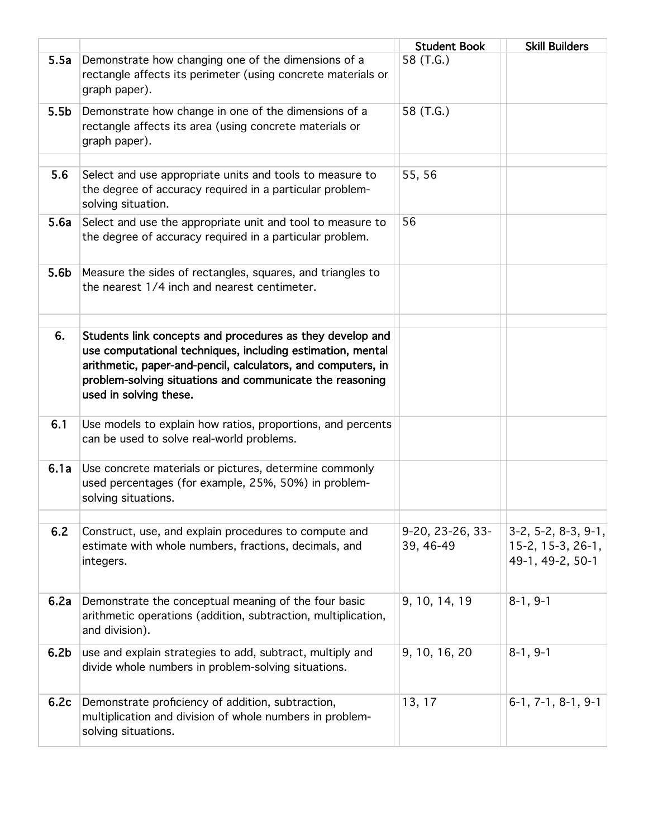|                  |                                                                                                                                                                                                                                                                               | <b>Student Book</b>           | <b>Skill Builders</b>                                        |
|------------------|-------------------------------------------------------------------------------------------------------------------------------------------------------------------------------------------------------------------------------------------------------------------------------|-------------------------------|--------------------------------------------------------------|
| 5.5a             | Demonstrate how changing one of the dimensions of a<br>rectangle affects its perimeter (using concrete materials or<br>graph paper).                                                                                                                                          | 58 (T.G.)                     |                                                              |
| 5.5 <sub>b</sub> | Demonstrate how change in one of the dimensions of a<br>rectangle affects its area (using concrete materials or<br>graph paper).                                                                                                                                              | 58 (T.G.)                     |                                                              |
| 5.6              | Select and use appropriate units and tools to measure to<br>the degree of accuracy required in a particular problem-<br>solving situation.                                                                                                                                    | 55, 56                        |                                                              |
| 5.6a             | Select and use the appropriate unit and tool to measure to<br>the degree of accuracy required in a particular problem.                                                                                                                                                        | 56                            |                                                              |
| 5.6 <sub>b</sub> | Measure the sides of rectangles, squares, and triangles to<br>the nearest 1/4 inch and nearest centimeter.                                                                                                                                                                    |                               |                                                              |
| 6.               | Students link concepts and procedures as they develop and<br>use computational techniques, including estimation, mental<br>arithmetic, paper-and-pencil, calculators, and computers, in<br>problem-solving situations and communicate the reasoning<br>used in solving these. |                               |                                                              |
| 6.1              | Use models to explain how ratios, proportions, and percents<br>can be used to solve real-world problems.                                                                                                                                                                      |                               |                                                              |
| 6.1a             | Use concrete materials or pictures, determine commonly<br>used percentages (for example, 25%, 50%) in problem-<br>solving situations.                                                                                                                                         |                               |                                                              |
| 6.2              | Construct, use, and explain procedures to compute and<br>estimate with whole numbers, fractions, decimals, and<br>integers.                                                                                                                                                   | 9-20, 23-26, 33-<br>39, 46-49 | 3-2, 5-2, 8-3, 9-1,<br>15-2, 15-3, 26-1,<br>49-1, 49-2, 50-1 |
| 6.2a             | Demonstrate the conceptual meaning of the four basic<br>arithmetic operations (addition, subtraction, multiplication,<br>and division).                                                                                                                                       | 9, 10, 14, 19                 | $8-1, 9-1$                                                   |
| 6.2 <sub>b</sub> | use and explain strategies to add, subtract, multiply and<br>divide whole numbers in problem-solving situations.                                                                                                                                                              | 9, 10, 16, 20                 | $8-1, 9-1$                                                   |
| 6.2c             | Demonstrate proficiency of addition, subtraction,<br>multiplication and division of whole numbers in problem-<br>solving situations.                                                                                                                                          | 13, 17                        | $6-1, 7-1, 8-1, 9-1$                                         |